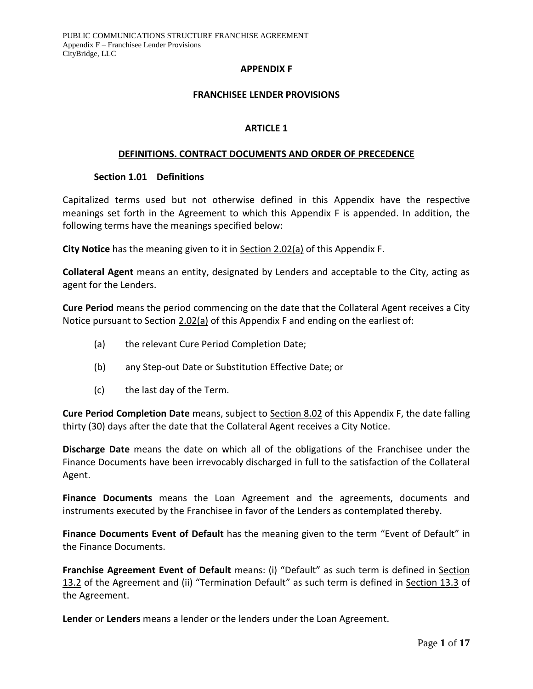#### **APPENDIX F**

#### **FRANCHISEE LENDER PROVISIONS**

#### **ARTICLE 1**

#### **DEFINITIONS. CONTRACT DOCUMENTS AND ORDER OF PRECEDENCE**

#### **Section 1.01 Definitions**

Capitalized terms used but not otherwise defined in this Appendix have the respective meanings set forth in the Agreement to which this Appendix F is appended. In addition, the following terms have the meanings specified below:

**City Notice** has the meaning given to it in Section 2.02(a) of this Appendix F.

**Collateral Agent** means an entity, designated by Lenders and acceptable to the City, acting as agent for the Lenders.

**Cure Period** means the period commencing on the date that the Collateral Agent receives a City Notice pursuant to Section 2.02(a) of this Appendix F and ending on the earliest of:

- (a) the relevant Cure Period Completion Date;
- (b) any Step-out Date or Substitution Effective Date; or
- (c) the last day of the Term.

**Cure Period Completion Date** means, subject to Section 8.02 of this Appendix F, the date falling thirty (30) days after the date that the Collateral Agent receives a City Notice.

**Discharge Date** means the date on which all of the obligations of the Franchisee under the Finance Documents have been irrevocably discharged in full to the satisfaction of the Collateral Agent.

**Finance Documents** means the Loan Agreement and the agreements, documents and instruments executed by the Franchisee in favor of the Lenders as contemplated thereby.

**Finance Documents Event of Default** has the meaning given to the term "Event of Default" in the Finance Documents.

**Franchise Agreement Event of Default** means: (i) "Default" as such term is defined in Section 13.2 of the Agreement and (ii) "Termination Default" as such term is defined in Section 13.3 of the Agreement.

**Lender** or **Lenders** means a lender or the lenders under the Loan Agreement.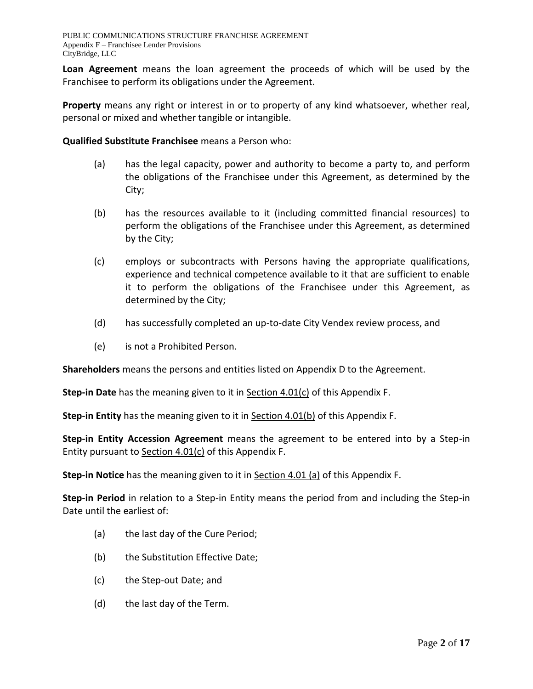**Loan Agreement** means the loan agreement the proceeds of which will be used by the Franchisee to perform its obligations under the Agreement.

**Property** means any right or interest in or to property of any kind whatsoever, whether real, personal or mixed and whether tangible or intangible.

**Qualified Substitute Franchisee** means a Person who:

- (a) has the legal capacity, power and authority to become a party to, and perform the obligations of the Franchisee under this Agreement, as determined by the City;
- (b) has the resources available to it (including committed financial resources) to perform the obligations of the Franchisee under this Agreement, as determined by the City;
- (c) employs or subcontracts with Persons having the appropriate qualifications, experience and technical competence available to it that are sufficient to enable it to perform the obligations of the Franchisee under this Agreement, as determined by the City;
- (d) has successfully completed an up-to-date City Vendex review process, and
- (e) is not a Prohibited Person.

**Shareholders** means the persons and entities listed on Appendix D to the Agreement.

**Step-in Date** has the meaning given to it in Section 4.01(c) of this Appendix F.

**Step-in Entity** has the meaning given to it in Section 4.01(b) of this Appendix F.

**Step-in Entity Accession Agreement** means the agreement to be entered into by a Step-in Entity pursuant to Section 4.01(c) of this Appendix F.

**Step-in Notice** has the meaning given to it in Section 4.01 (a) of this Appendix F.

**Step-in Period** in relation to a Step-in Entity means the period from and including the Step-in Date until the earliest of:

- (a) the last day of the Cure Period;
- (b) the Substitution Effective Date;
- (c) the Step-out Date; and
- (d) the last day of the Term.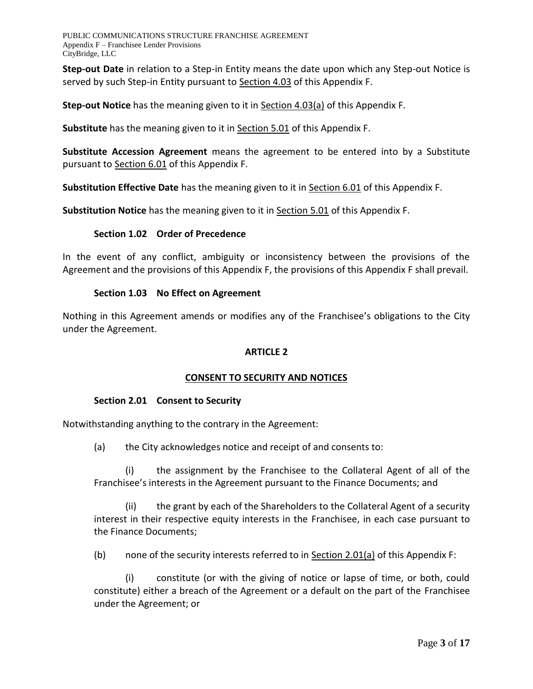**Step-out Date** in relation to a Step-in Entity means the date upon which any Step-out Notice is served by such Step-in Entity pursuant to Section 4.03 of this Appendix F.

**Step-out Notice** has the meaning given to it in Section 4.03(a) of this Appendix F.

**Substitute** has the meaning given to it in Section 5.01 of this Appendix F.

**Substitute Accession Agreement** means the agreement to be entered into by a Substitute pursuant to Section 6.01 of this Appendix F.

**Substitution Effective Date** has the meaning given to it in Section 6.01 of this Appendix F.

**Substitution Notice** has the meaning given to it in Section 5.01 of this Appendix F.

## **Section 1.02 Order of Precedence**

In the event of any conflict, ambiguity or inconsistency between the provisions of the Agreement and the provisions of this Appendix F, the provisions of this Appendix F shall prevail.

#### **Section 1.03 No Effect on Agreement**

Nothing in this Agreement amends or modifies any of the Franchisee's obligations to the City under the Agreement.

## **ARTICLE 2**

## **CONSENT TO SECURITY AND NOTICES**

#### **Section 2.01 Consent to Security**

Notwithstanding anything to the contrary in the Agreement:

(a) the City acknowledges notice and receipt of and consents to:

(i) the assignment by the Franchisee to the Collateral Agent of all of the Franchisee's interests in the Agreement pursuant to the Finance Documents; and

(ii) the grant by each of the Shareholders to the Collateral Agent of a security interest in their respective equity interests in the Franchisee, in each case pursuant to the Finance Documents;

(b) none of the security interests referred to in  $Section 2.01(a)$  of this Appendix F:

(i) constitute (or with the giving of notice or lapse of time, or both, could constitute) either a breach of the Agreement or a default on the part of the Franchisee under the Agreement; or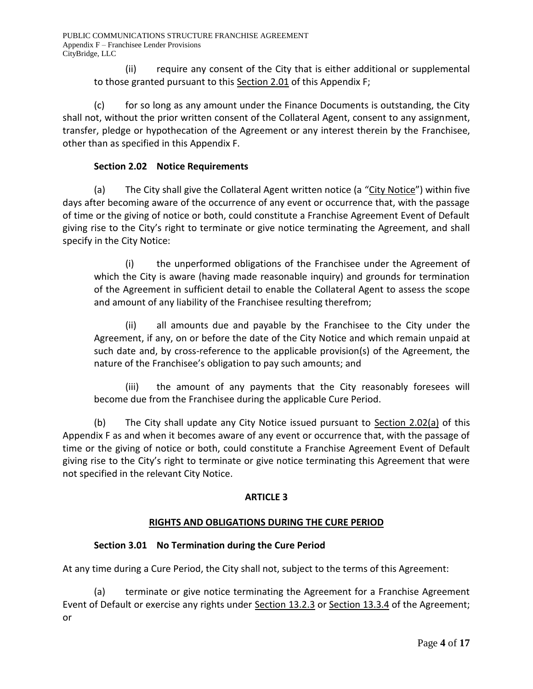(ii) require any consent of the City that is either additional or supplemental to those granted pursuant to this Section 2.01 of this Appendix F;

(c) for so long as any amount under the Finance Documents is outstanding, the City shall not, without the prior written consent of the Collateral Agent, consent to any assignment, transfer, pledge or hypothecation of the Agreement or any interest therein by the Franchisee, other than as specified in this Appendix F.

# **Section 2.02 Notice Requirements**

(a) The City shall give the Collateral Agent written notice (a "City Notice") within five days after becoming aware of the occurrence of any event or occurrence that, with the passage of time or the giving of notice or both, could constitute a Franchise Agreement Event of Default giving rise to the City's right to terminate or give notice terminating the Agreement, and shall specify in the City Notice:

(i) the unperformed obligations of the Franchisee under the Agreement of which the City is aware (having made reasonable inquiry) and grounds for termination of the Agreement in sufficient detail to enable the Collateral Agent to assess the scope and amount of any liability of the Franchisee resulting therefrom;

(ii) all amounts due and payable by the Franchisee to the City under the Agreement, if any, on or before the date of the City Notice and which remain unpaid at such date and, by cross-reference to the applicable provision(s) of the Agreement, the nature of the Franchisee's obligation to pay such amounts; and

(iii) the amount of any payments that the City reasonably foresees will become due from the Franchisee during the applicable Cure Period.

(b) The City shall update any City Notice issued pursuant to Section 2.02(a) of this Appendix F as and when it becomes aware of any event or occurrence that, with the passage of time or the giving of notice or both, could constitute a Franchise Agreement Event of Default giving rise to the City's right to terminate or give notice terminating this Agreement that were not specified in the relevant City Notice.

# **ARTICLE 3**

# **RIGHTS AND OBLIGATIONS DURING THE CURE PERIOD**

# **Section 3.01 No Termination during the Cure Period**

At any time during a Cure Period, the City shall not, subject to the terms of this Agreement:

(a) terminate or give notice terminating the Agreement for a Franchise Agreement Event of Default or exercise any rights under Section 13.2.3 or Section 13.3.4 of the Agreement; or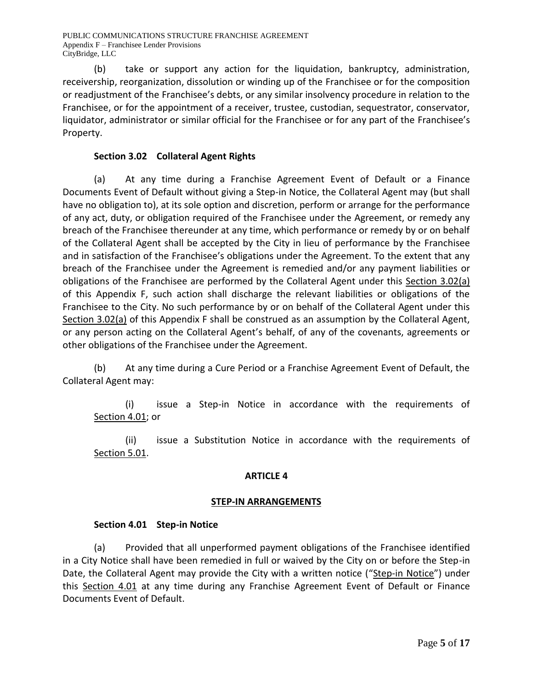(b) take or support any action for the liquidation, bankruptcy, administration, receivership, reorganization, dissolution or winding up of the Franchisee or for the composition or readjustment of the Franchisee's debts, or any similar insolvency procedure in relation to the Franchisee, or for the appointment of a receiver, trustee, custodian, sequestrator, conservator, liquidator, administrator or similar official for the Franchisee or for any part of the Franchisee's Property.

# **Section 3.02 Collateral Agent Rights**

(a) At any time during a Franchise Agreement Event of Default or a Finance Documents Event of Default without giving a Step-in Notice, the Collateral Agent may (but shall have no obligation to), at its sole option and discretion, perform or arrange for the performance of any act, duty, or obligation required of the Franchisee under the Agreement, or remedy any breach of the Franchisee thereunder at any time, which performance or remedy by or on behalf of the Collateral Agent shall be accepted by the City in lieu of performance by the Franchisee and in satisfaction of the Franchisee's obligations under the Agreement. To the extent that any breach of the Franchisee under the Agreement is remedied and/or any payment liabilities or obligations of the Franchisee are performed by the Collateral Agent under this Section 3.02(a) of this Appendix F, such action shall discharge the relevant liabilities or obligations of the Franchisee to the City. No such performance by or on behalf of the Collateral Agent under this Section 3.02(a) of this Appendix F shall be construed as an assumption by the Collateral Agent, or any person acting on the Collateral Agent's behalf, of any of the covenants, agreements or other obligations of the Franchisee under the Agreement.

(b) At any time during a Cure Period or a Franchise Agreement Event of Default, the Collateral Agent may:

(i) issue a Step-in Notice in accordance with the requirements of Section 4.01; or

(ii) issue a Substitution Notice in accordance with the requirements of Section 5.01.

## **ARTICLE 4**

## **STEP-IN ARRANGEMENTS**

## **Section 4.01 Step-in Notice**

(a) Provided that all unperformed payment obligations of the Franchisee identified in a City Notice shall have been remedied in full or waived by the City on or before the Step-in Date, the Collateral Agent may provide the City with a written notice ("Step-in Notice") under this Section 4.01 at any time during any Franchise Agreement Event of Default or Finance Documents Event of Default.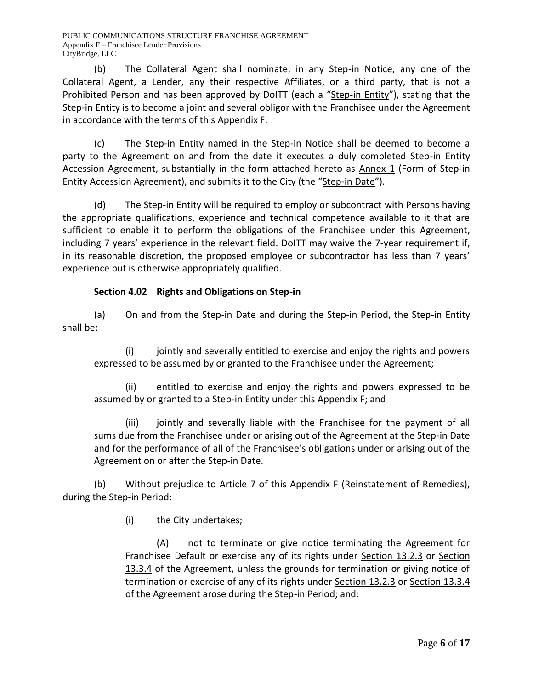(b) The Collateral Agent shall nominate, in any Step-in Notice, any one of the Collateral Agent, a Lender, any their respective Affiliates, or a third party, that is not a Prohibited Person and has been approved by DoITT (each a "Step-in Entity"), stating that the Step-in Entity is to become a joint and several obligor with the Franchisee under the Agreement in accordance with the terms of this Appendix F.

(c) The Step-in Entity named in the Step-in Notice shall be deemed to become a party to the Agreement on and from the date it executes a duly completed Step-in Entity Accession Agreement, substantially in the form attached hereto as Annex 1 (Form of Step-in Entity Accession Agreement), and submits it to the City (the "Step-in Date").

(d) The Step-in Entity will be required to employ or subcontract with Persons having the appropriate qualifications, experience and technical competence available to it that are sufficient to enable it to perform the obligations of the Franchisee under this Agreement, including 7 years' experience in the relevant field. DoITT may waive the 7-year requirement if, in its reasonable discretion, the proposed employee or subcontractor has less than 7 years' experience but is otherwise appropriately qualified.

# **Section 4.02 Rights and Obligations on Step-in**

(a) On and from the Step-in Date and during the Step-in Period, the Step-in Entity shall be:

(i) jointly and severally entitled to exercise and enjoy the rights and powers expressed to be assumed by or granted to the Franchisee under the Agreement;

(ii) entitled to exercise and enjoy the rights and powers expressed to be assumed by or granted to a Step-in Entity under this Appendix F; and

(iii) jointly and severally liable with the Franchisee for the payment of all sums due from the Franchisee under or arising out of the Agreement at the Step-in Date and for the performance of all of the Franchisee's obligations under or arising out of the Agreement on or after the Step-in Date.

(b) Without prejudice to Article 7 of this Appendix F (Reinstatement of Remedies), during the Step-in Period:

(i) the City undertakes;

(A) not to terminate or give notice terminating the Agreement for Franchisee Default or exercise any of its rights under Section 13.2.3 or Section 13.3.4 of the Agreement, unless the grounds for termination or giving notice of termination or exercise of any of its rights under Section 13.2.3 or Section 13.3.4 of the Agreement arose during the Step-in Period; and: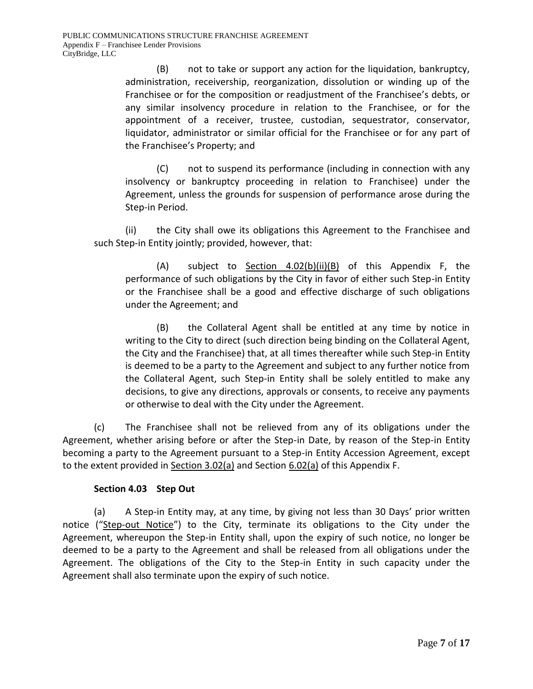(B) not to take or support any action for the liquidation, bankruptcy, administration, receivership, reorganization, dissolution or winding up of the Franchisee or for the composition or readjustment of the Franchisee's debts, or any similar insolvency procedure in relation to the Franchisee, or for the appointment of a receiver, trustee, custodian, sequestrator, conservator, liquidator, administrator or similar official for the Franchisee or for any part of the Franchisee's Property; and

(C) not to suspend its performance (including in connection with any insolvency or bankruptcy proceeding in relation to Franchisee) under the Agreement, unless the grounds for suspension of performance arose during the Step-in Period.

(ii) the City shall owe its obligations this Agreement to the Franchisee and such Step-in Entity jointly; provided, however, that:

(A) subject to Section 4.02(b)(ii)(B) of this Appendix F, the performance of such obligations by the City in favor of either such Step-in Entity or the Franchisee shall be a good and effective discharge of such obligations under the Agreement; and

(B) the Collateral Agent shall be entitled at any time by notice in writing to the City to direct (such direction being binding on the Collateral Agent, the City and the Franchisee) that, at all times thereafter while such Step-in Entity is deemed to be a party to the Agreement and subject to any further notice from the Collateral Agent, such Step-in Entity shall be solely entitled to make any decisions, to give any directions, approvals or consents, to receive any payments or otherwise to deal with the City under the Agreement.

(c) The Franchisee shall not be relieved from any of its obligations under the Agreement, whether arising before or after the Step-in Date, by reason of the Step-in Entity becoming a party to the Agreement pursuant to a Step-in Entity Accession Agreement, except to the extent provided in Section 3.02(a) and Section 6.02(a) of this Appendix F.

# **Section 4.03 Step Out**

(a) A Step-in Entity may, at any time, by giving not less than 30 Days' prior written notice ("Step-out Notice") to the City, terminate its obligations to the City under the Agreement, whereupon the Step-in Entity shall, upon the expiry of such notice, no longer be deemed to be a party to the Agreement and shall be released from all obligations under the Agreement. The obligations of the City to the Step-in Entity in such capacity under the Agreement shall also terminate upon the expiry of such notice.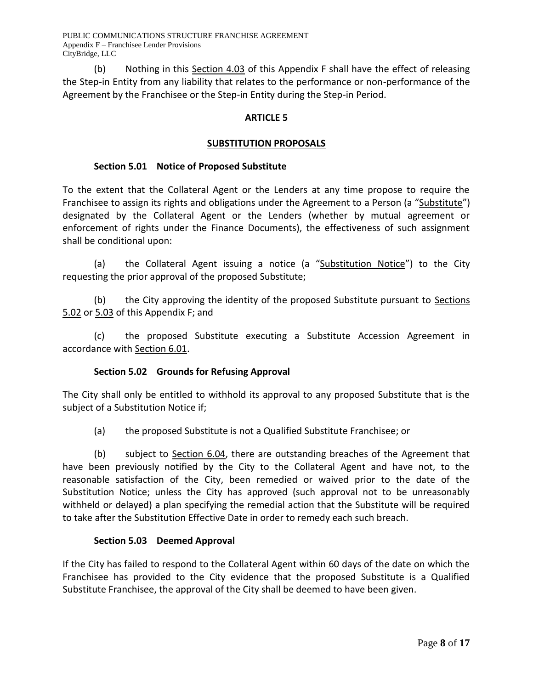(b) Nothing in this Section 4.03 of this Appendix F shall have the effect of releasing the Step-in Entity from any liability that relates to the performance or non-performance of the Agreement by the Franchisee or the Step-in Entity during the Step-in Period.

## **ARTICLE 5**

## **SUBSTITUTION PROPOSALS**

#### **Section 5.01 Notice of Proposed Substitute**

To the extent that the Collateral Agent or the Lenders at any time propose to require the Franchisee to assign its rights and obligations under the Agreement to a Person (a "Substitute") designated by the Collateral Agent or the Lenders (whether by mutual agreement or enforcement of rights under the Finance Documents), the effectiveness of such assignment shall be conditional upon:

(a) the Collateral Agent issuing a notice (a "Substitution Notice") to the City requesting the prior approval of the proposed Substitute;

(b) the City approving the identity of the proposed Substitute pursuant to Sections 5.02 or 5.03 of this Appendix F; and

(c) the proposed Substitute executing a Substitute Accession Agreement in accordance with Section 6.01.

## **Section 5.02 Grounds for Refusing Approval**

The City shall only be entitled to withhold its approval to any proposed Substitute that is the subject of a Substitution Notice if;

(a) the proposed Substitute is not a Qualified Substitute Franchisee; or

(b) subject to Section 6.04, there are outstanding breaches of the Agreement that have been previously notified by the City to the Collateral Agent and have not, to the reasonable satisfaction of the City, been remedied or waived prior to the date of the Substitution Notice; unless the City has approved (such approval not to be unreasonably withheld or delayed) a plan specifying the remedial action that the Substitute will be required to take after the Substitution Effective Date in order to remedy each such breach.

## **Section 5.03 Deemed Approval**

If the City has failed to respond to the Collateral Agent within 60 days of the date on which the Franchisee has provided to the City evidence that the proposed Substitute is a Qualified Substitute Franchisee, the approval of the City shall be deemed to have been given.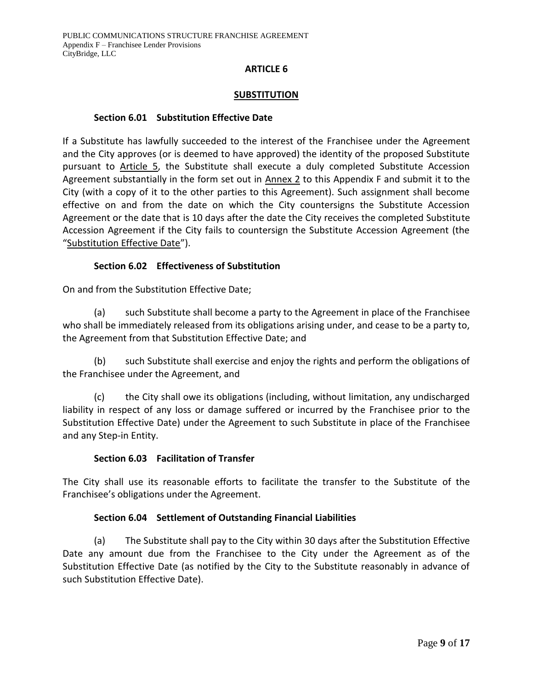#### **ARTICLE 6**

#### **SUBSTITUTION**

#### **Section 6.01 Substitution Effective Date**

If a Substitute has lawfully succeeded to the interest of the Franchisee under the Agreement and the City approves (or is deemed to have approved) the identity of the proposed Substitute pursuant to Article 5, the Substitute shall execute a duly completed Substitute Accession Agreement substantially in the form set out in Annex 2 to this Appendix F and submit it to the City (with a copy of it to the other parties to this Agreement). Such assignment shall become effective on and from the date on which the City countersigns the Substitute Accession Agreement or the date that is 10 days after the date the City receives the completed Substitute Accession Agreement if the City fails to countersign the Substitute Accession Agreement (the "Substitution Effective Date").

## **Section 6.02 Effectiveness of Substitution**

On and from the Substitution Effective Date;

(a) such Substitute shall become a party to the Agreement in place of the Franchisee who shall be immediately released from its obligations arising under, and cease to be a party to, the Agreement from that Substitution Effective Date; and

(b) such Substitute shall exercise and enjoy the rights and perform the obligations of the Franchisee under the Agreement, and

(c) the City shall owe its obligations (including, without limitation, any undischarged liability in respect of any loss or damage suffered or incurred by the Franchisee prior to the Substitution Effective Date) under the Agreement to such Substitute in place of the Franchisee and any Step-in Entity.

## **Section 6.03 Facilitation of Transfer**

The City shall use its reasonable efforts to facilitate the transfer to the Substitute of the Franchisee's obligations under the Agreement.

## **Section 6.04 Settlement of Outstanding Financial Liabilities**

(a) The Substitute shall pay to the City within 30 days after the Substitution Effective Date any amount due from the Franchisee to the City under the Agreement as of the Substitution Effective Date (as notified by the City to the Substitute reasonably in advance of such Substitution Effective Date).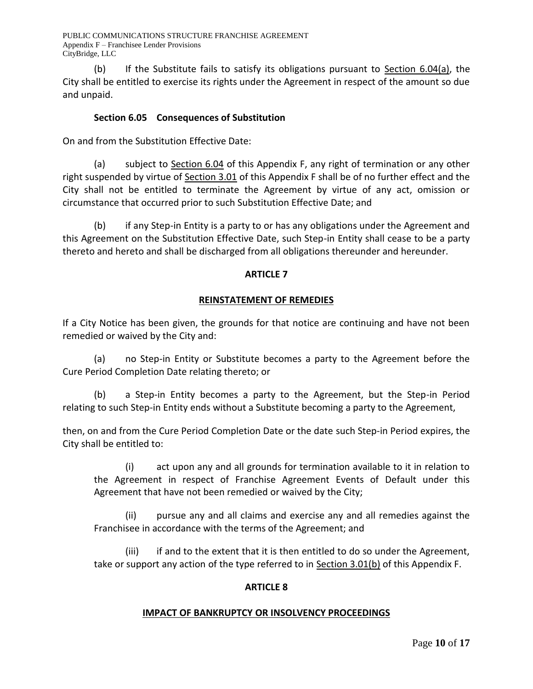(b) If the Substitute fails to satisfy its obligations pursuant to Section 6.04(a), the City shall be entitled to exercise its rights under the Agreement in respect of the amount so due and unpaid.

## **Section 6.05 Consequences of Substitution**

On and from the Substitution Effective Date:

(a) subject to Section 6.04 of this Appendix F, any right of termination or any other right suspended by virtue of Section 3.01 of this Appendix F shall be of no further effect and the City shall not be entitled to terminate the Agreement by virtue of any act, omission or circumstance that occurred prior to such Substitution Effective Date; and

(b) if any Step-in Entity is a party to or has any obligations under the Agreement and this Agreement on the Substitution Effective Date, such Step-in Entity shall cease to be a party thereto and hereto and shall be discharged from all obligations thereunder and hereunder.

## **ARTICLE 7**

## **REINSTATEMENT OF REMEDIES**

If a City Notice has been given, the grounds for that notice are continuing and have not been remedied or waived by the City and:

(a) no Step-in Entity or Substitute becomes a party to the Agreement before the Cure Period Completion Date relating thereto; or

(b) a Step-in Entity becomes a party to the Agreement, but the Step-in Period relating to such Step-in Entity ends without a Substitute becoming a party to the Agreement,

then, on and from the Cure Period Completion Date or the date such Step-in Period expires, the City shall be entitled to:

(i) act upon any and all grounds for termination available to it in relation to the Agreement in respect of Franchise Agreement Events of Default under this Agreement that have not been remedied or waived by the City;

(ii) pursue any and all claims and exercise any and all remedies against the Franchisee in accordance with the terms of the Agreement; and

(iii) if and to the extent that it is then entitled to do so under the Agreement, take or support any action of the type referred to in Section 3.01(b) of this Appendix F.

## **ARTICLE 8**

#### **IMPACT OF BANKRUPTCY OR INSOLVENCY PROCEEDINGS**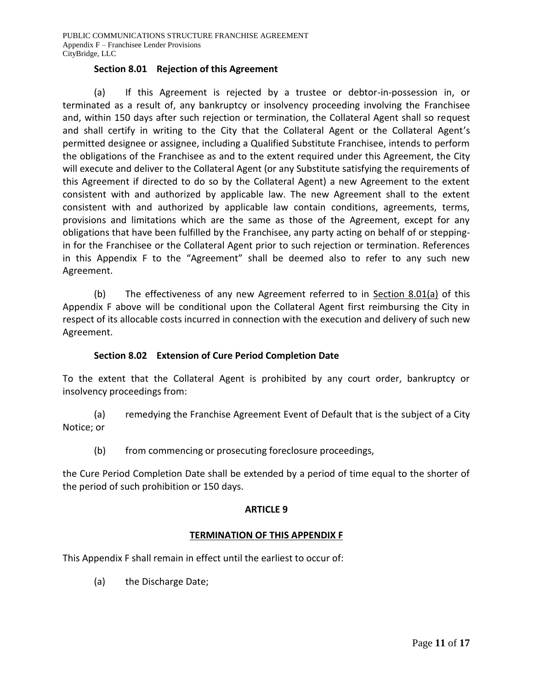## **Section 8.01 Rejection of this Agreement**

(a) If this Agreement is rejected by a trustee or debtor-in-possession in, or terminated as a result of, any bankruptcy or insolvency proceeding involving the Franchisee and, within 150 days after such rejection or termination, the Collateral Agent shall so request and shall certify in writing to the City that the Collateral Agent or the Collateral Agent's permitted designee or assignee, including a Qualified Substitute Franchisee, intends to perform the obligations of the Franchisee as and to the extent required under this Agreement, the City will execute and deliver to the Collateral Agent (or any Substitute satisfying the requirements of this Agreement if directed to do so by the Collateral Agent) a new Agreement to the extent consistent with and authorized by applicable law. The new Agreement shall to the extent consistent with and authorized by applicable law contain conditions, agreements, terms, provisions and limitations which are the same as those of the Agreement, except for any obligations that have been fulfilled by the Franchisee, any party acting on behalf of or steppingin for the Franchisee or the Collateral Agent prior to such rejection or termination. References in this Appendix F to the "Agreement" shall be deemed also to refer to any such new Agreement.

(b) The effectiveness of any new Agreement referred to in Section 8.01(a) of this Appendix F above will be conditional upon the Collateral Agent first reimbursing the City in respect of its allocable costs incurred in connection with the execution and delivery of such new Agreement.

## **Section 8.02 Extension of Cure Period Completion Date**

To the extent that the Collateral Agent is prohibited by any court order, bankruptcy or insolvency proceedings from:

(a) remedying the Franchise Agreement Event of Default that is the subject of a City Notice; or

(b) from commencing or prosecuting foreclosure proceedings,

the Cure Period Completion Date shall be extended by a period of time equal to the shorter of the period of such prohibition or 150 days.

## **ARTICLE 9**

#### **TERMINATION OF THIS APPENDIX F**

This Appendix F shall remain in effect until the earliest to occur of:

(a) the Discharge Date;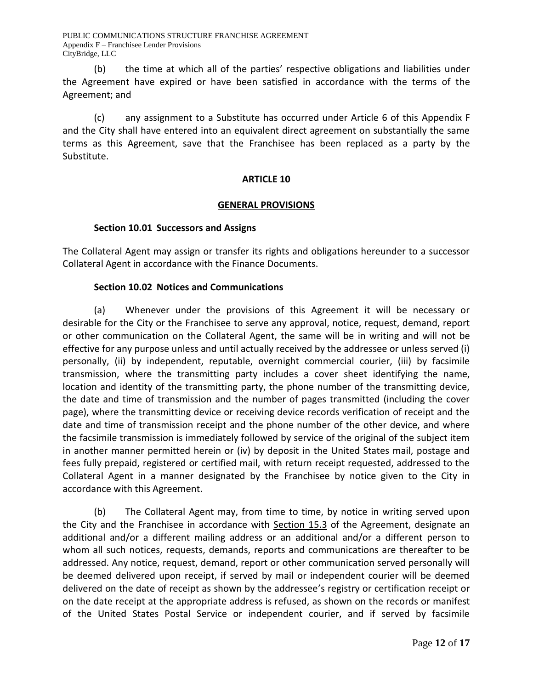(b) the time at which all of the parties' respective obligations and liabilities under the Agreement have expired or have been satisfied in accordance with the terms of the Agreement; and

(c) any assignment to a Substitute has occurred under Article 6 of this Appendix F and the City shall have entered into an equivalent direct agreement on substantially the same terms as this Agreement, save that the Franchisee has been replaced as a party by the Substitute.

## **ARTICLE 10**

## **GENERAL PROVISIONS**

## **Section 10.01 Successors and Assigns**

The Collateral Agent may assign or transfer its rights and obligations hereunder to a successor Collateral Agent in accordance with the Finance Documents.

## **Section 10.02 Notices and Communications**

(a) Whenever under the provisions of this Agreement it will be necessary or desirable for the City or the Franchisee to serve any approval, notice, request, demand, report or other communication on the Collateral Agent, the same will be in writing and will not be effective for any purpose unless and until actually received by the addressee or unless served (i) personally, (ii) by independent, reputable, overnight commercial courier, (iii) by facsimile transmission, where the transmitting party includes a cover sheet identifying the name, location and identity of the transmitting party, the phone number of the transmitting device, the date and time of transmission and the number of pages transmitted (including the cover page), where the transmitting device or receiving device records verification of receipt and the date and time of transmission receipt and the phone number of the other device, and where the facsimile transmission is immediately followed by service of the original of the subject item in another manner permitted herein or (iv) by deposit in the United States mail, postage and fees fully prepaid, registered or certified mail, with return receipt requested, addressed to the Collateral Agent in a manner designated by the Franchisee by notice given to the City in accordance with this Agreement.

(b) The Collateral Agent may, from time to time, by notice in writing served upon the City and the Franchisee in accordance with Section 15.3 of the Agreement, designate an additional and/or a different mailing address or an additional and/or a different person to whom all such notices, requests, demands, reports and communications are thereafter to be addressed. Any notice, request, demand, report or other communication served personally will be deemed delivered upon receipt, if served by mail or independent courier will be deemed delivered on the date of receipt as shown by the addressee's registry or certification receipt or on the date receipt at the appropriate address is refused, as shown on the records or manifest of the United States Postal Service or independent courier, and if served by facsimile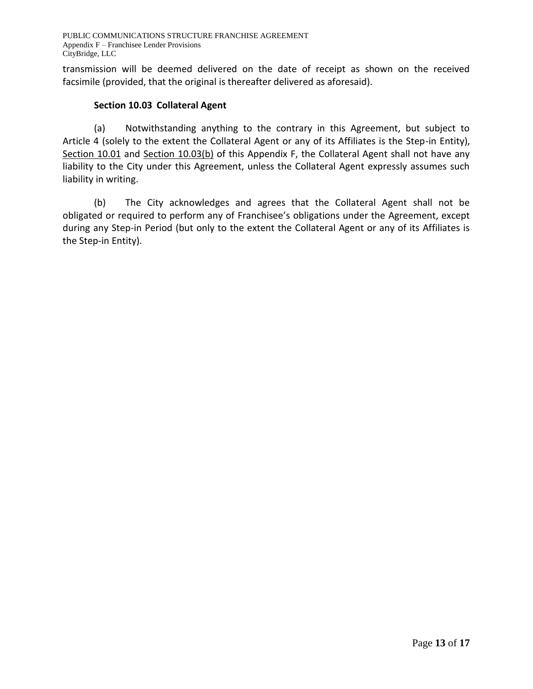transmission will be deemed delivered on the date of receipt as shown on the received facsimile (provided, that the original is thereafter delivered as aforesaid).

## **Section 10.03 Collateral Agent**

(a) Notwithstanding anything to the contrary in this Agreement, but subject to Article 4 (solely to the extent the Collateral Agent or any of its Affiliates is the Step-in Entity), Section 10.01 and Section 10.03(b) of this Appendix F, the Collateral Agent shall not have any liability to the City under this Agreement, unless the Collateral Agent expressly assumes such liability in writing.

(b) The City acknowledges and agrees that the Collateral Agent shall not be obligated or required to perform any of Franchisee's obligations under the Agreement, except during any Step-in Period (but only to the extent the Collateral Agent or any of its Affiliates is the Step-in Entity).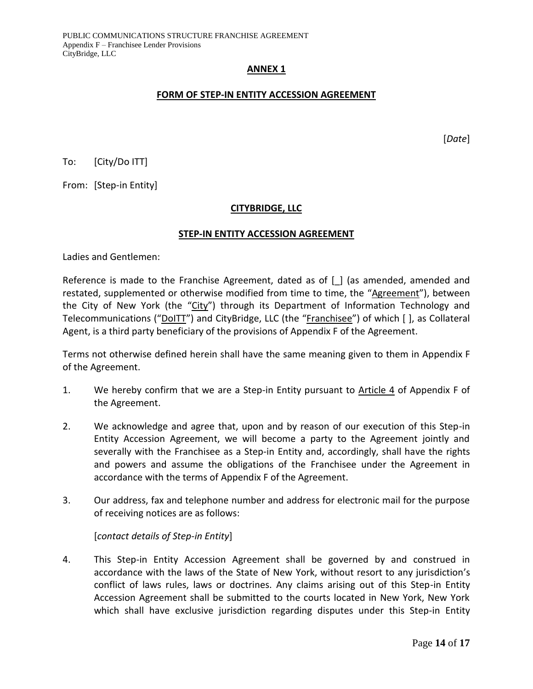#### **ANNEX 1**

#### **FORM OF STEP-IN ENTITY ACCESSION AGREEMENT**

[*Date*]

To: [City/Do ITT]

From: [Step-in Entity]

## **CITYBRIDGE, LLC**

#### **STEP-IN ENTITY ACCESSION AGREEMENT**

Ladies and Gentlemen:

Reference is made to the Franchise Agreement, dated as of  $\lceil \cdot \rceil$  (as amended, amended and restated, supplemented or otherwise modified from time to time, the "Agreement"), between the City of New York (the "City") through its Department of Information Technology and Telecommunications ("DoITT") and CityBridge, LLC (the "Franchisee") of which [ ], as Collateral Agent, is a third party beneficiary of the provisions of Appendix F of the Agreement.

Terms not otherwise defined herein shall have the same meaning given to them in Appendix F of the Agreement.

- 1. We hereby confirm that we are a Step-in Entity pursuant to Article 4 of Appendix F of the Agreement.
- 2. We acknowledge and agree that, upon and by reason of our execution of this Step-in Entity Accession Agreement, we will become a party to the Agreement jointly and severally with the Franchisee as a Step-in Entity and, accordingly, shall have the rights and powers and assume the obligations of the Franchisee under the Agreement in accordance with the terms of Appendix F of the Agreement.
- 3. Our address, fax and telephone number and address for electronic mail for the purpose of receiving notices are as follows:

[*contact details of Step-in Entity*]

4. This Step-in Entity Accession Agreement shall be governed by and construed in accordance with the laws of the State of New York, without resort to any jurisdiction's conflict of laws rules, laws or doctrines. Any claims arising out of this Step-in Entity Accession Agreement shall be submitted to the courts located in New York, New York which shall have exclusive jurisdiction regarding disputes under this Step-in Entity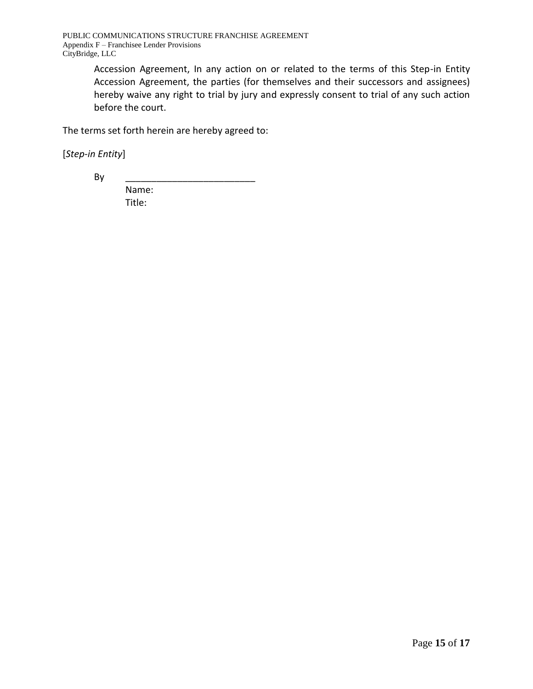Accession Agreement, In any action on or related to the terms of this Step-in Entity Accession Agreement, the parties (for themselves and their successors and assignees) hereby waive any right to trial by jury and expressly consent to trial of any such action before the court.

The terms set forth herein are hereby agreed to:

[*Step-in Entity*]

By \_\_\_\_\_\_\_\_\_\_\_\_\_\_\_\_\_\_\_\_\_\_\_\_\_

Name: Title: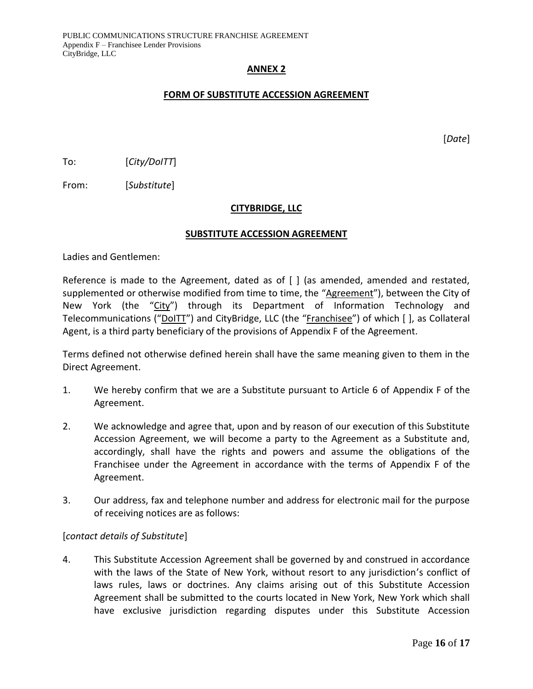#### **ANNEX 2**

#### **FORM OF SUBSTITUTE ACCESSION AGREEMENT**

[*Date*]

To: [*City/DoITT*]

From: [*Substitute*]

## **CITYBRIDGE, LLC**

#### **SUBSTITUTE ACCESSION AGREEMENT**

Ladies and Gentlemen:

Reference is made to the Agreement, dated as of [ ] (as amended, amended and restated, supplemented or otherwise modified from time to time, the "Agreement"), between the City of New York (the "City") through its Department of Information Technology and Telecommunications ("DoITT") and CityBridge, LLC (the "Franchisee") of which [], as Collateral Agent, is a third party beneficiary of the provisions of Appendix F of the Agreement.

Terms defined not otherwise defined herein shall have the same meaning given to them in the Direct Agreement.

- 1. We hereby confirm that we are a Substitute pursuant to Article 6 of Appendix F of the Agreement.
- 2. We acknowledge and agree that, upon and by reason of our execution of this Substitute Accession Agreement, we will become a party to the Agreement as a Substitute and, accordingly, shall have the rights and powers and assume the obligations of the Franchisee under the Agreement in accordance with the terms of Appendix F of the Agreement.
- 3. Our address, fax and telephone number and address for electronic mail for the purpose of receiving notices are as follows:

## [*contact details of Substitute*]

4. This Substitute Accession Agreement shall be governed by and construed in accordance with the laws of the State of New York, without resort to any jurisdiction's conflict of laws rules, laws or doctrines. Any claims arising out of this Substitute Accession Agreement shall be submitted to the courts located in New York, New York which shall have exclusive jurisdiction regarding disputes under this Substitute Accession